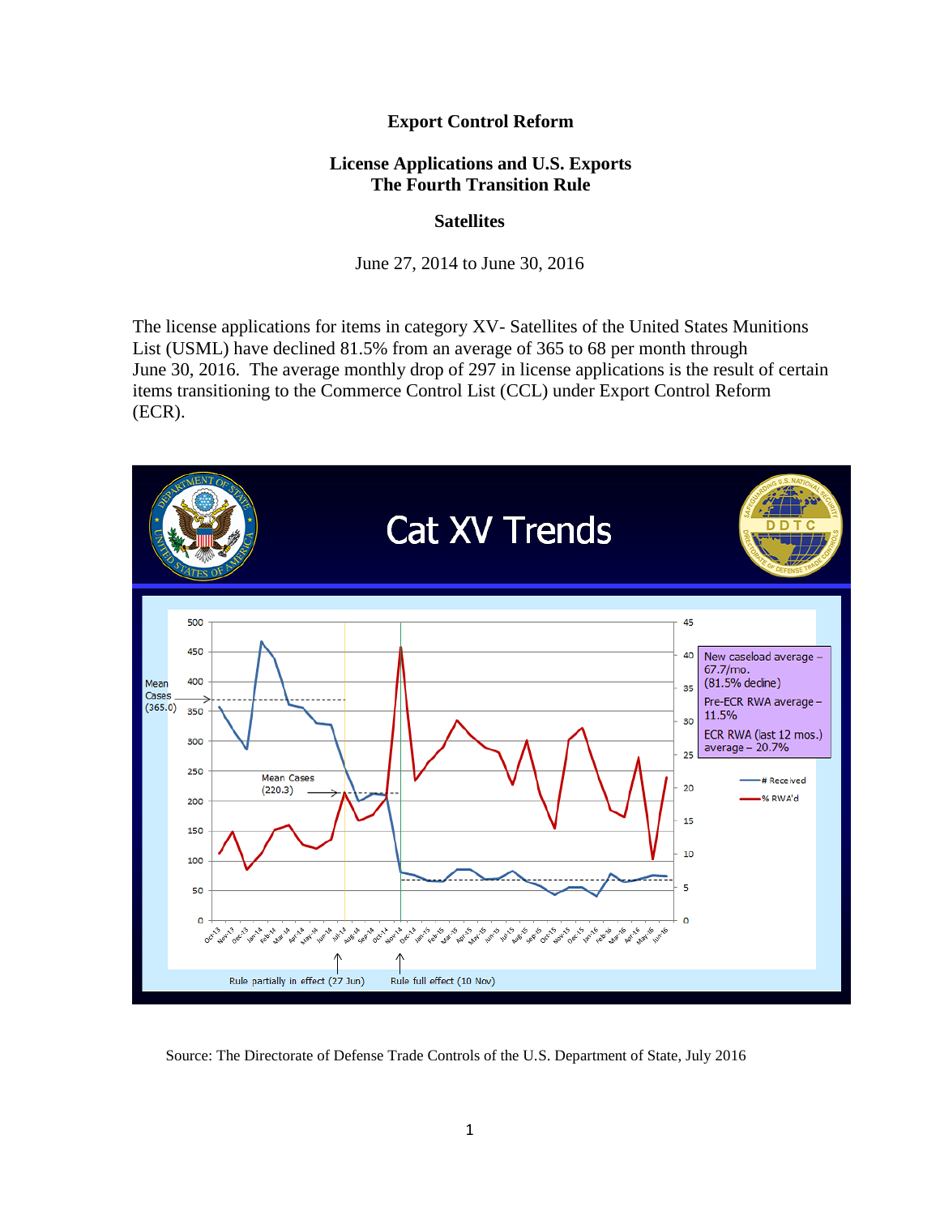## **Export Control Reform**

## **License Applications and U.S. Exports The Fourth Transition Rule**

### **Satellites**

June 27, 2014 to June 30, 2016

The license applications for items in category XV- Satellites of the United States Munitions List (USML) have declined 81.5% from an average of 365 to 68 per month through June 30, 2016. The average monthly drop of 297 in license applications is the result of certain items transitioning to the Commerce Control List (CCL) under Export Control Reform (ECR).



Source: The Directorate of Defense Trade Controls of the U.S. Department of State, July 2016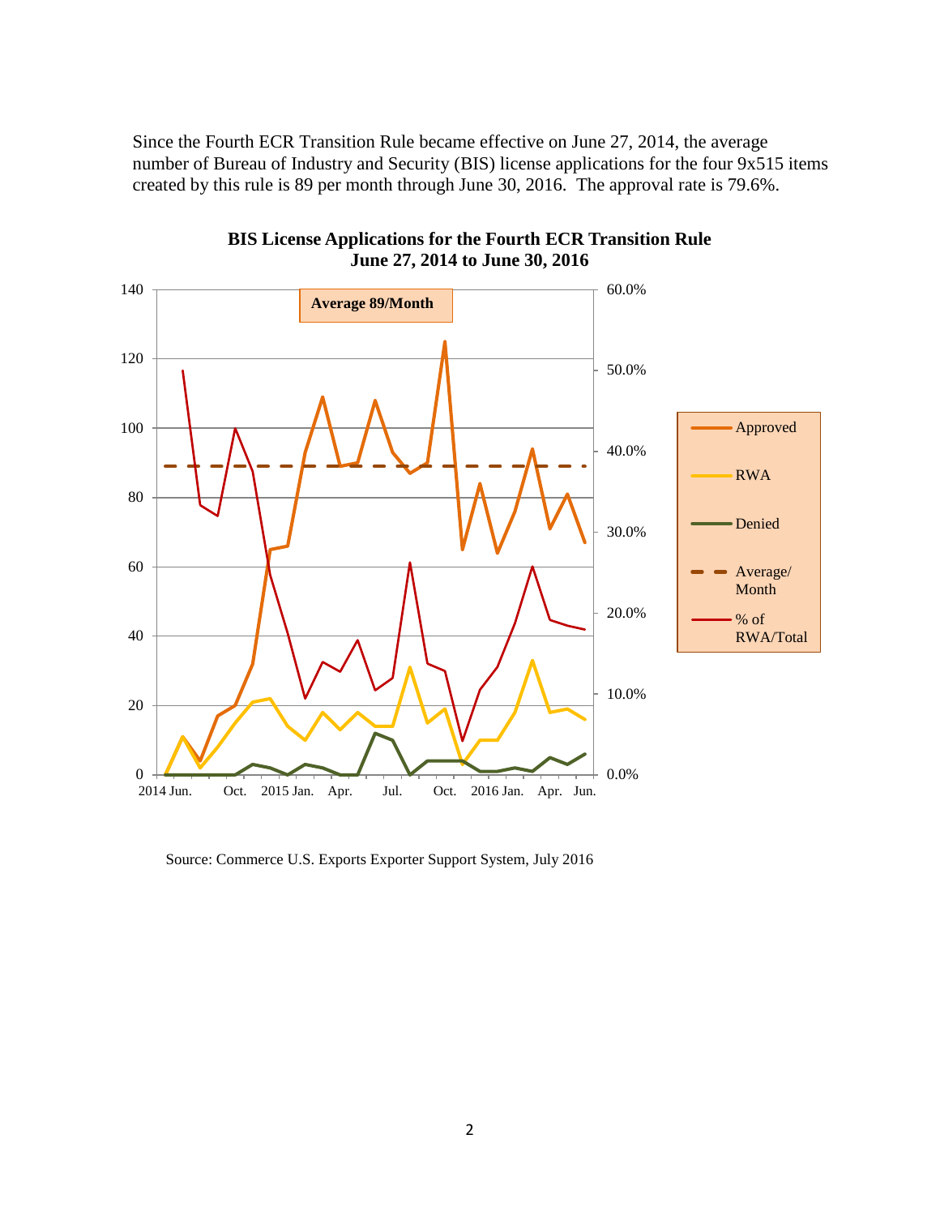Since the Fourth ECR Transition Rule became effective on June 27, 2014, the average number of Bureau of Industry and Security (BIS) license applications for the four 9x515 items created by this rule is 89 per month through June 30, 2016. The approval rate is 79.6%.



**BIS License Applications for the Fourth ECR Transition Rule June 27, 2014 to June 30, 2016**

Source: Commerce U.S. Exports Exporter Support System, July 2016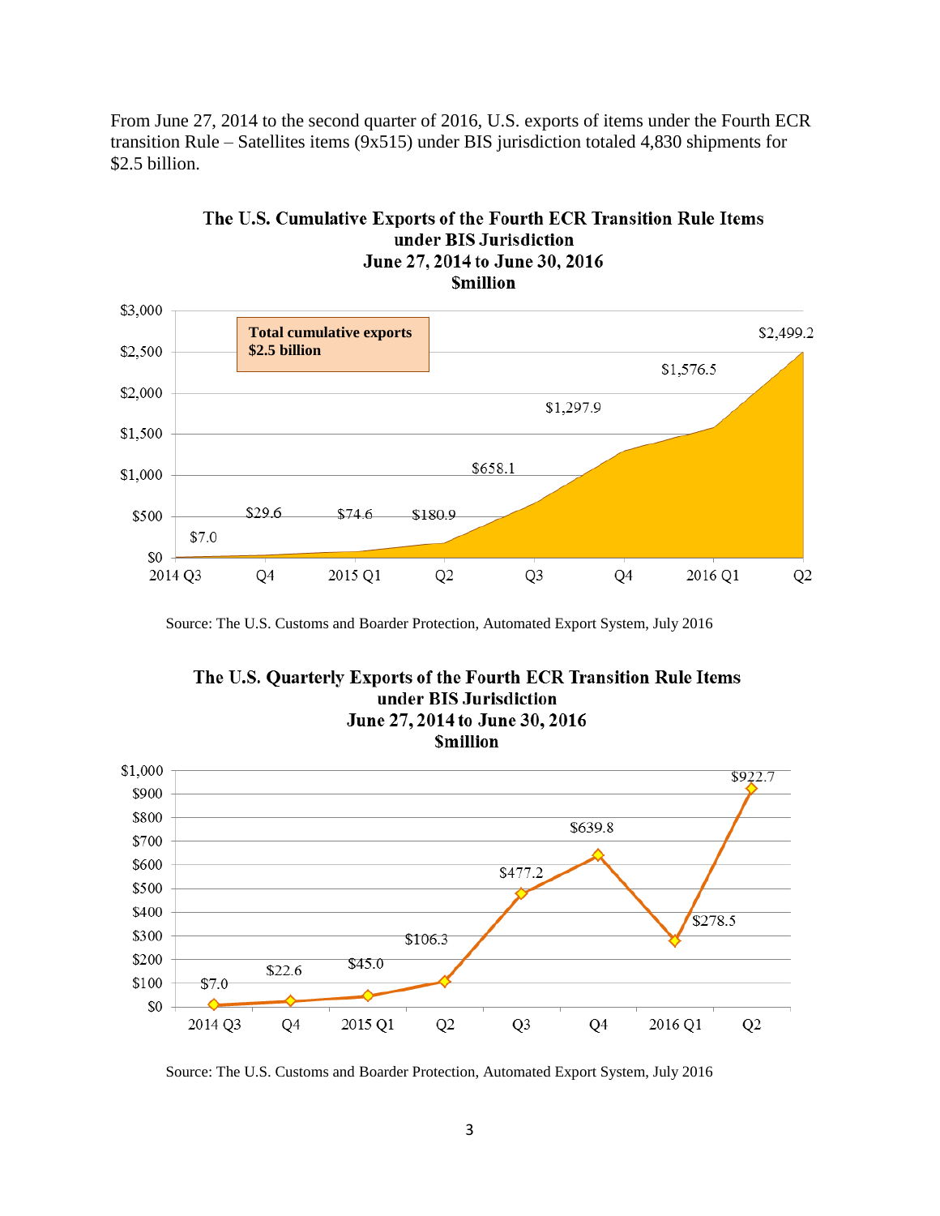From June 27, 2014 to the second quarter of 2016, U.S. exports of items under the Fourth ECR transition Rule – Satellites items (9x515) under BIS jurisdiction totaled 4,830 shipments for \$2.5 billion.



# The U.S. Cumulative Exports of the Fourth ECR Transition Rule Items under BIS Jurisdiction June 27, 2014 to June 30, 2016

Source: The U.S. Customs and Boarder Protection, Automated Export System, July 2016



Source: The U.S. Customs and Boarder Protection, Automated Export System, July 2016